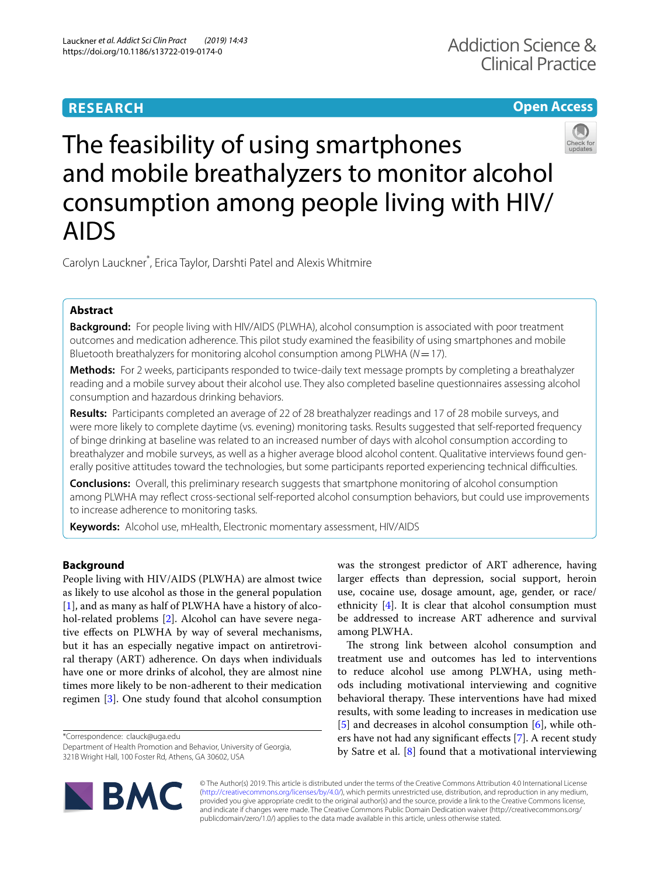# **RESEARCH**

# **Open Access**



The feasibility of using smartphones and mobile breathalyzers to monitor alcohol consumption among people living with HIV/ AIDS

Carolyn Lauckner\* , Erica Taylor, Darshti Patel and Alexis Whitmire

# **Abstract**

**Background:** For people living with HIV/AIDS (PLWHA), alcohol consumption is associated with poor treatment outcomes and medication adherence. This pilot study examined the feasibility of using smartphones and mobile Bluetooth breathalyzers for monitoring alcohol consumption among PLWHA (*N*=17).

**Methods:** For 2 weeks, participants responded to twice-daily text message prompts by completing a breathalyzer reading and a mobile survey about their alcohol use. They also completed baseline questionnaires assessing alcohol consumption and hazardous drinking behaviors.

**Results:** Participants completed an average of 22 of 28 breathalyzer readings and 17 of 28 mobile surveys, and were more likely to complete daytime (vs. evening) monitoring tasks. Results suggested that self-reported frequency of binge drinking at baseline was related to an increased number of days with alcohol consumption according to breathalyzer and mobile surveys, as well as a higher average blood alcohol content. Qualitative interviews found generally positive attitudes toward the technologies, but some participants reported experiencing technical difficulties.

**Conclusions:** Overall, this preliminary research suggests that smartphone monitoring of alcohol consumption among PLWHA may refect cross-sectional self-reported alcohol consumption behaviors, but could use improvements to increase adherence to monitoring tasks.

**Keywords:** Alcohol use, mHealth, Electronic momentary assessment, HIV/AIDS

# **Background**

People living with HIV/AIDS (PLWHA) are almost twice as likely to use alcohol as those in the general population [[1\]](#page-9-0), and as many as half of PLWHA have a history of alco-hol-related problems [[2\]](#page-9-1). Alcohol can have severe negative efects on PLWHA by way of several mechanisms, but it has an especially negative impact on antiretroviral therapy (ART) adherence. On days when individuals have one or more drinks of alcohol, they are almost nine times more likely to be non-adherent to their medication regimen [[3\]](#page-9-2). One study found that alcohol consumption

\*Correspondence: clauck@uga.edu

Department of Health Promotion and Behavior, University of Georgia, 321B Wright Hall, 100 Foster Rd, Athens, GA 30602, USA

was the strongest predictor of ART adherence, having larger efects than depression, social support, heroin use, cocaine use, dosage amount, age, gender, or race/ ethnicity [[4\]](#page-9-3). It is clear that alcohol consumption must be addressed to increase ART adherence and survival among PLWHA.

The strong link between alcohol consumption and treatment use and outcomes has led to interventions to reduce alcohol use among PLWHA, using methods including motivational interviewing and cognitive behavioral therapy. These interventions have had mixed results, with some leading to increases in medication use [[5\]](#page-9-4) and decreases in alcohol consumption [\[6\]](#page-9-5), while others have not had any signifcant efects [[7\]](#page-9-6). A recent study by Satre et al. [\[8](#page-9-7)] found that a motivational interviewing

© The Author(s) 2019. This article is distributed under the terms of the Creative Commons Attribution 4.0 International License [\(http://creativecommons.org/licenses/by/4.0/\)](http://creativecommons.org/licenses/by/4.0/), which permits unrestricted use, distribution, and reproduction in any medium, provided you give appropriate credit to the original author(s) and the source, provide a link to the Creative Commons license, and indicate if changes were made. The Creative Commons Public Domain Dedication waiver (http://creativecommons.org/ publicdomain/zero/1.0/) applies to the data made available in this article, unless otherwise stated.

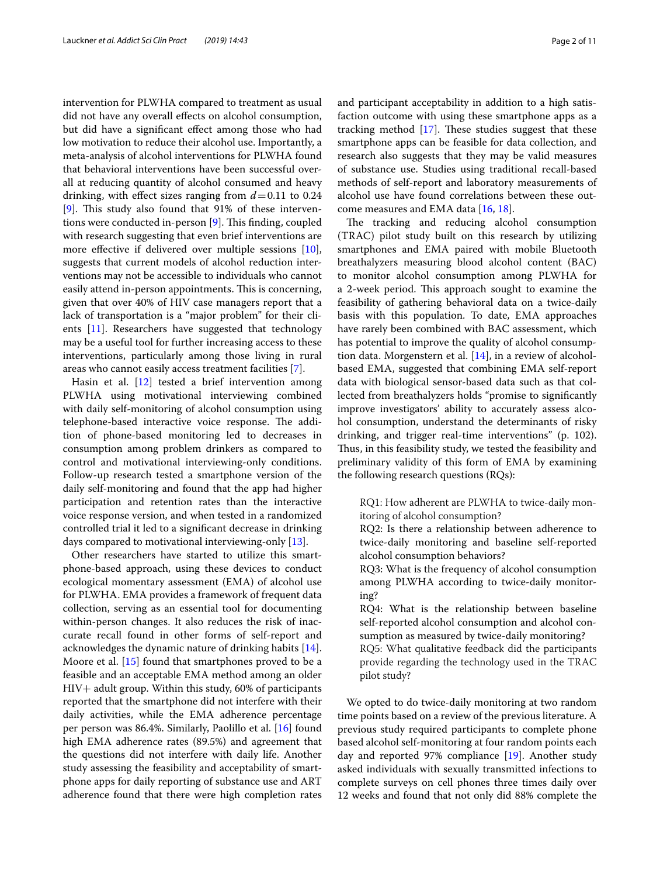intervention for PLWHA compared to treatment as usual did not have any overall efects on alcohol consumption, but did have a signifcant efect among those who had low motivation to reduce their alcohol use. Importantly, a meta-analysis of alcohol interventions for PLWHA found that behavioral interventions have been successful overall at reducing quantity of alcohol consumed and heavy drinking, with efect sizes ranging from *d*=0.11 to 0.24 [[9\]](#page-9-8). This study also found that  $91\%$  of these interven-tions were conducted in-person [[9\]](#page-9-8). This finding, coupled with research suggesting that even brief interventions are more effective if delivered over multiple sessions [\[10](#page-9-9)], suggests that current models of alcohol reduction interventions may not be accessible to individuals who cannot easily attend in-person appointments. This is concerning, given that over 40% of HIV case managers report that a lack of transportation is a "major problem" for their clients [[11\]](#page-9-10). Researchers have suggested that technology may be a useful tool for further increasing access to these interventions, particularly among those living in rural areas who cannot easily access treatment facilities [\[7](#page-9-6)].

Hasin et al.  $[12]$  $[12]$  $[12]$  tested a brief intervention among PLWHA using motivational interviewing combined with daily self-monitoring of alcohol consumption using telephone-based interactive voice response. The addition of phone-based monitoring led to decreases in consumption among problem drinkers as compared to control and motivational interviewing-only conditions. Follow-up research tested a smartphone version of the daily self-monitoring and found that the app had higher participation and retention rates than the interactive voice response version, and when tested in a randomized controlled trial it led to a signifcant decrease in drinking days compared to motivational interviewing-only [\[13](#page-9-12)].

Other researchers have started to utilize this smartphone-based approach, using these devices to conduct ecological momentary assessment (EMA) of alcohol use for PLWHA. EMA provides a framework of frequent data collection, serving as an essential tool for documenting within-person changes. It also reduces the risk of inaccurate recall found in other forms of self-report and acknowledges the dynamic nature of drinking habits [\[14](#page-9-13)]. Moore et al. [\[15\]](#page-9-14) found that smartphones proved to be a feasible and an acceptable EMA method among an older HIV+ adult group. Within this study, 60% of participants reported that the smartphone did not interfere with their daily activities, while the EMA adherence percentage per person was 86.4%. Similarly, Paolillo et al. [[16\]](#page-9-15) found high EMA adherence rates (89.5%) and agreement that the questions did not interfere with daily life. Another study assessing the feasibility and acceptability of smartphone apps for daily reporting of substance use and ART adherence found that there were high completion rates and participant acceptability in addition to a high satisfaction outcome with using these smartphone apps as a tracking method  $[17]$  $[17]$ . These studies suggest that these smartphone apps can be feasible for data collection, and research also suggests that they may be valid measures of substance use. Studies using traditional recall-based methods of self-report and laboratory measurements of alcohol use have found correlations between these outcome measures and EMA data [[16,](#page-9-15) [18](#page-9-17)].

The tracking and reducing alcohol consumption (TRAC) pilot study built on this research by utilizing smartphones and EMA paired with mobile Bluetooth breathalyzers measuring blood alcohol content (BAC) to monitor alcohol consumption among PLWHA for a 2-week period. This approach sought to examine the feasibility of gathering behavioral data on a twice-daily basis with this population. To date, EMA approaches have rarely been combined with BAC assessment, which has potential to improve the quality of alcohol consumption data. Morgenstern et al. [\[14](#page-9-13)], in a review of alcoholbased EMA, suggested that combining EMA self-report data with biological sensor-based data such as that collected from breathalyzers holds "promise to signifcantly improve investigators' ability to accurately assess alcohol consumption, understand the determinants of risky drinking, and trigger real-time interventions" (p. 102). Thus, in this feasibility study, we tested the feasibility and preliminary validity of this form of EMA by examining the following research questions (RQs):

RQ1: How adherent are PLWHA to twice-daily monitoring of alcohol consumption?

- RQ2: Is there a relationship between adherence to twice-daily monitoring and baseline self-reported alcohol consumption behaviors?
- RQ3: What is the frequency of alcohol consumption among PLWHA according to twice-daily monitoring?
- RQ4: What is the relationship between baseline self-reported alcohol consumption and alcohol consumption as measured by twice-daily monitoring?
- RQ5: What qualitative feedback did the participants provide regarding the technology used in the TRAC pilot study?

We opted to do twice-daily monitoring at two random time points based on a review of the previous literature. A previous study required participants to complete phone based alcohol self-monitoring at four random points each day and reported 97% compliance [\[19](#page-9-18)]. Another study asked individuals with sexually transmitted infections to complete surveys on cell phones three times daily over 12 weeks and found that not only did 88% complete the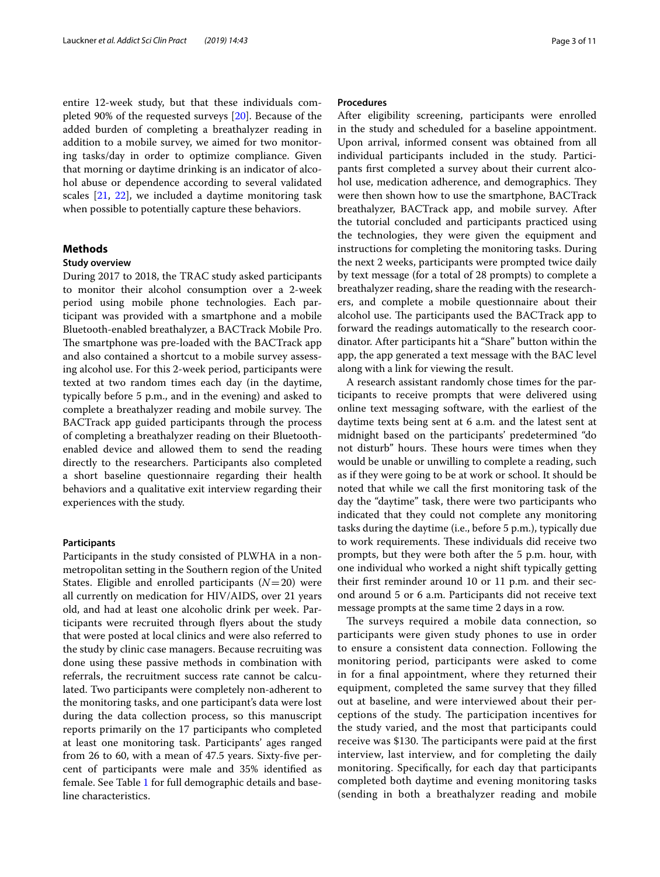entire 12-week study, but that these individuals completed 90% of the requested surveys [[20\]](#page-10-0). Because of the added burden of completing a breathalyzer reading in addition to a mobile survey, we aimed for two monitoring tasks/day in order to optimize compliance. Given that morning or daytime drinking is an indicator of alcohol abuse or dependence according to several validated scales [[21](#page-10-1), [22\]](#page-10-2), we included a daytime monitoring task when possible to potentially capture these behaviors.

## **Methods**

## **Study overview**

During 2017 to 2018, the TRAC study asked participants to monitor their alcohol consumption over a 2-week period using mobile phone technologies. Each participant was provided with a smartphone and a mobile Bluetooth-enabled breathalyzer, a BACTrack Mobile Pro. The smartphone was pre-loaded with the BACTrack app and also contained a shortcut to a mobile survey assessing alcohol use. For this 2-week period, participants were texted at two random times each day (in the daytime, typically before 5 p.m., and in the evening) and asked to complete a breathalyzer reading and mobile survey. The BACTrack app guided participants through the process of completing a breathalyzer reading on their Bluetoothenabled device and allowed them to send the reading directly to the researchers. Participants also completed a short baseline questionnaire regarding their health behaviors and a qualitative exit interview regarding their experiences with the study.

## **Participants**

Participants in the study consisted of PLWHA in a nonmetropolitan setting in the Southern region of the United States. Eligible and enrolled participants (*N*=20) were all currently on medication for HIV/AIDS, over 21 years old, and had at least one alcoholic drink per week. Participants were recruited through fyers about the study that were posted at local clinics and were also referred to the study by clinic case managers. Because recruiting was done using these passive methods in combination with referrals, the recruitment success rate cannot be calculated. Two participants were completely non-adherent to the monitoring tasks, and one participant's data were lost during the data collection process, so this manuscript reports primarily on the 17 participants who completed at least one monitoring task. Participants' ages ranged from 26 to 60, with a mean of 47.5 years. Sixty-fve percent of participants were male and 35% identifed as female. See Table [1](#page-3-0) for full demographic details and baseline characteristics.

### **Procedures**

After eligibility screening, participants were enrolled in the study and scheduled for a baseline appointment. Upon arrival, informed consent was obtained from all individual participants included in the study. Participants frst completed a survey about their current alcohol use, medication adherence, and demographics. They were then shown how to use the smartphone, BACTrack breathalyzer, BACTrack app, and mobile survey. After the tutorial concluded and participants practiced using the technologies, they were given the equipment and instructions for completing the monitoring tasks. During the next 2 weeks, participants were prompted twice daily by text message (for a total of 28 prompts) to complete a breathalyzer reading, share the reading with the researchers, and complete a mobile questionnaire about their alcohol use. The participants used the BACTrack app to forward the readings automatically to the research coordinator. After participants hit a "Share" button within the app, the app generated a text message with the BAC level along with a link for viewing the result.

A research assistant randomly chose times for the participants to receive prompts that were delivered using online text messaging software, with the earliest of the daytime texts being sent at 6 a.m. and the latest sent at midnight based on the participants' predetermined "do not disturb" hours. These hours were times when they would be unable or unwilling to complete a reading, such as if they were going to be at work or school. It should be noted that while we call the frst monitoring task of the day the "daytime" task, there were two participants who indicated that they could not complete any monitoring tasks during the daytime (i.e., before 5 p.m.), typically due to work requirements. These individuals did receive two prompts, but they were both after the 5 p.m. hour, with one individual who worked a night shift typically getting their frst reminder around 10 or 11 p.m. and their second around 5 or 6 a.m. Participants did not receive text message prompts at the same time 2 days in a row.

The surveys required a mobile data connection, so participants were given study phones to use in order to ensure a consistent data connection. Following the monitoring period, participants were asked to come in for a fnal appointment, where they returned their equipment, completed the same survey that they flled out at baseline, and were interviewed about their perceptions of the study. The participation incentives for the study varied, and the most that participants could receive was \$130. The participants were paid at the first interview, last interview, and for completing the daily monitoring. Specifcally, for each day that participants completed both daytime and evening monitoring tasks (sending in both a breathalyzer reading and mobile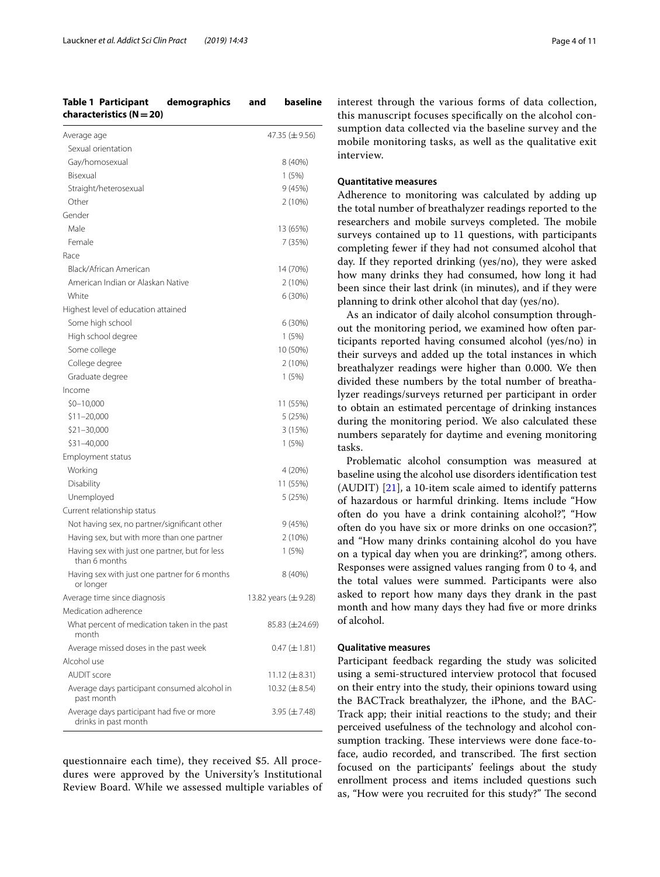# <span id="page-3-0"></span>**Table 1 Participant demographics and baseline characteristics (N=20)**

| Average age                                                       | 47.35 $(\pm 9.56)$       |
|-------------------------------------------------------------------|--------------------------|
| Sexual orientation                                                |                          |
| Gay/homosexual                                                    | 8 (40%)                  |
| Bisexual                                                          | 1(5%)                    |
| Straight/heterosexual                                             | 9 (45%)                  |
| Other                                                             | 2 (10%)                  |
| Gender                                                            |                          |
| Male                                                              | 13 (65%)                 |
| Female                                                            | 7 (35%)                  |
| Race                                                              |                          |
| Black/African American                                            | 14 (70%)                 |
| American Indian or Alaskan Native                                 | 2 (10%)                  |
| White                                                             | 6 (30%)                  |
| Highest level of education attained                               |                          |
| Some high school                                                  | 6 (30%)                  |
| High school degree                                                | 1(5%)                    |
| Some college                                                      | 10 (50%)                 |
| College degree                                                    | 2 (10%)                  |
| Graduate degree                                                   | 1(5%)                    |
| Income                                                            |                          |
| \$0-10,000                                                        | 11 (55%)                 |
| $$11 - 20,000$                                                    | 5 (25%)                  |
| \$21-30,000                                                       | 3(15%)                   |
| \$31-40,000                                                       | 1(5%)                    |
| Employment status                                                 |                          |
| Working                                                           | 4 (20%)                  |
| Disability                                                        | 11 (55%)                 |
| Unemployed                                                        | 5 (25%)                  |
| Current relationship status                                       |                          |
| Not having sex, no partner/significant other                      | 9(45%)                   |
| Having sex, but with more than one partner                        | 2(10%)                   |
| Having sex with just one partner, but for less<br>than 6 months   | 1(5%)                    |
| Having sex with just one partner for 6 months<br>or longer        | 8 (40%)                  |
| Average time since diagnosis                                      | 13.82 years $(\pm 9.28)$ |
| Medication adherence                                              |                          |
| What percent of medication taken in the past<br>month             | 85.83 (±24.69)           |
| Average missed doses in the past week                             | $0.47 (\pm 1.81)$        |
| Alcohol use                                                       |                          |
| <b>AUDIT</b> score                                                | 11.12 $(\pm 8.31)$       |
| Average days participant consumed alcohol in<br>past month        | $10.32 \ (\pm 8.54)$     |
| Average days participant had five or more<br>drinks in past month | $3.95 (\pm 7.48)$        |

questionnaire each time), they received \$5. All procedures were approved by the University's Institutional Review Board. While we assessed multiple variables of interest through the various forms of data collection, this manuscript focuses specifcally on the alcohol consumption data collected via the baseline survey and the mobile monitoring tasks, as well as the qualitative exit interview.

## **Quantitative measures**

Adherence to monitoring was calculated by adding up the total number of breathalyzer readings reported to the researchers and mobile surveys completed. The mobile surveys contained up to 11 questions, with participants completing fewer if they had not consumed alcohol that day. If they reported drinking (yes/no), they were asked how many drinks they had consumed, how long it had been since their last drink (in minutes), and if they were planning to drink other alcohol that day (yes/no).

As an indicator of daily alcohol consumption throughout the monitoring period, we examined how often participants reported having consumed alcohol (yes/no) in their surveys and added up the total instances in which breathalyzer readings were higher than 0.000. We then divided these numbers by the total number of breathalyzer readings/surveys returned per participant in order to obtain an estimated percentage of drinking instances during the monitoring period. We also calculated these numbers separately for daytime and evening monitoring tasks.

Problematic alcohol consumption was measured at baseline using the alcohol use disorders identifcation test (AUDIT) [\[21](#page-10-1)], a 10-item scale aimed to identify patterns of hazardous or harmful drinking. Items include "How often do you have a drink containing alcohol?", "How often do you have six or more drinks on one occasion?", and "How many drinks containing alcohol do you have on a typical day when you are drinking?", among others. Responses were assigned values ranging from 0 to 4, and the total values were summed. Participants were also asked to report how many days they drank in the past month and how many days they had five or more drinks of alcohol.

## **Qualitative measures**

Participant feedback regarding the study was solicited using a semi-structured interview protocol that focused on their entry into the study, their opinions toward using the BACTrack breathalyzer, the iPhone, and the BAC-Track app; their initial reactions to the study; and their perceived usefulness of the technology and alcohol consumption tracking. These interviews were done face-toface, audio recorded, and transcribed. The first section focused on the participants' feelings about the study enrollment process and items included questions such as, "How were you recruited for this study?" The second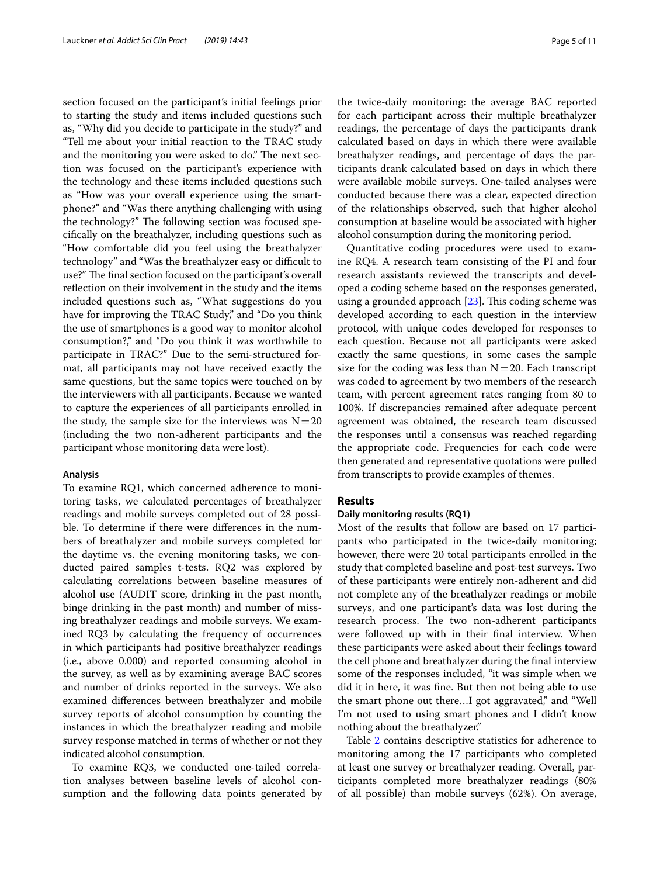section focused on the participant's initial feelings prior to starting the study and items included questions such as, "Why did you decide to participate in the study?" and "Tell me about your initial reaction to the TRAC study and the monitoring you were asked to do." The next section was focused on the participant's experience with the technology and these items included questions such as "How was your overall experience using the smartphone?" and "Was there anything challenging with using the technology?" The following section was focused specifcally on the breathalyzer, including questions such as "How comfortable did you feel using the breathalyzer technology" and "Was the breathalyzer easy or difficult to use?" The final section focused on the participant's overall refection on their involvement in the study and the items included questions such as, "What suggestions do you have for improving the TRAC Study," and "Do you think the use of smartphones is a good way to monitor alcohol consumption?," and "Do you think it was worthwhile to participate in TRAC?" Due to the semi-structured format, all participants may not have received exactly the same questions, but the same topics were touched on by the interviewers with all participants. Because we wanted to capture the experiences of all participants enrolled in the study, the sample size for the interviews was  $N=20$ (including the two non-adherent participants and the participant whose monitoring data were lost).

#### **Analysis**

To examine RQ1, which concerned adherence to monitoring tasks, we calculated percentages of breathalyzer readings and mobile surveys completed out of 28 possible. To determine if there were diferences in the numbers of breathalyzer and mobile surveys completed for the daytime vs. the evening monitoring tasks, we conducted paired samples t-tests. RQ2 was explored by calculating correlations between baseline measures of alcohol use (AUDIT score, drinking in the past month, binge drinking in the past month) and number of missing breathalyzer readings and mobile surveys. We examined RQ3 by calculating the frequency of occurrences in which participants had positive breathalyzer readings (i.e., above 0.000) and reported consuming alcohol in the survey, as well as by examining average BAC scores and number of drinks reported in the surveys. We also examined diferences between breathalyzer and mobile survey reports of alcohol consumption by counting the instances in which the breathalyzer reading and mobile survey response matched in terms of whether or not they indicated alcohol consumption.

To examine RQ3, we conducted one-tailed correlation analyses between baseline levels of alcohol consumption and the following data points generated by the twice-daily monitoring: the average BAC reported for each participant across their multiple breathalyzer readings, the percentage of days the participants drank calculated based on days in which there were available breathalyzer readings, and percentage of days the participants drank calculated based on days in which there were available mobile surveys. One-tailed analyses were conducted because there was a clear, expected direction of the relationships observed, such that higher alcohol consumption at baseline would be associated with higher alcohol consumption during the monitoring period.

Quantitative coding procedures were used to examine RQ4. A research team consisting of the PI and four research assistants reviewed the transcripts and developed a coding scheme based on the responses generated, using a grounded approach [[23\]](#page-10-3). This coding scheme was developed according to each question in the interview protocol, with unique codes developed for responses to each question. Because not all participants were asked exactly the same questions, in some cases the sample size for the coding was less than  $N=20$ . Each transcript was coded to agreement by two members of the research team, with percent agreement rates ranging from 80 to 100%. If discrepancies remained after adequate percent agreement was obtained, the research team discussed the responses until a consensus was reached regarding the appropriate code. Frequencies for each code were then generated and representative quotations were pulled from transcripts to provide examples of themes.

## **Results**

## **Daily monitoring results (RQ1)**

Most of the results that follow are based on 17 participants who participated in the twice-daily monitoring; however, there were 20 total participants enrolled in the study that completed baseline and post-test surveys. Two of these participants were entirely non-adherent and did not complete any of the breathalyzer readings or mobile surveys, and one participant's data was lost during the research process. The two non-adherent participants were followed up with in their fnal interview. When these participants were asked about their feelings toward the cell phone and breathalyzer during the fnal interview some of the responses included, "it was simple when we did it in here, it was fne. But then not being able to use the smart phone out there…I got aggravated," and "Well I'm not used to using smart phones and I didn't know nothing about the breathalyzer."

Table [2](#page-5-0) contains descriptive statistics for adherence to monitoring among the 17 participants who completed at least one survey or breathalyzer reading. Overall, participants completed more breathalyzer readings (80% of all possible) than mobile surveys (62%). On average,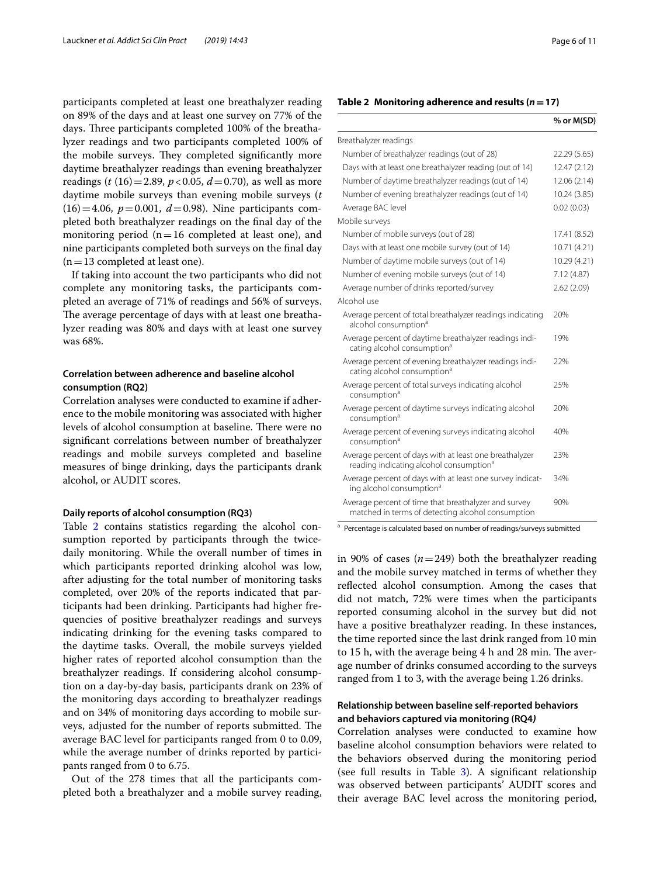participants completed at least one breathalyzer reading on 89% of the days and at least one survey on 77% of the days. Three participants completed 100% of the breathalyzer readings and two participants completed 100% of the mobile surveys. They completed significantly more daytime breathalyzer readings than evening breathalyzer readings (*t* (16) = 2.89,  $p < 0.05$ ,  $d = 0.70$ ), as well as more daytime mobile surveys than evening mobile surveys (*t*  $(16)=4.06, p=0.001, d=0.98$ ). Nine participants completed both breathalyzer readings on the fnal day of the monitoring period ( $n=16$  completed at least one), and nine participants completed both surveys on the fnal day  $(n=13$  completed at least one).

If taking into account the two participants who did not complete any monitoring tasks, the participants completed an average of 71% of readings and 56% of surveys. The average percentage of days with at least one breathalyzer reading was 80% and days with at least one survey was 68%.

# **Correlation between adherence and baseline alcohol consumption (RQ2)**

Correlation analyses were conducted to examine if adherence to the mobile monitoring was associated with higher levels of alcohol consumption at baseline. There were no signifcant correlations between number of breathalyzer readings and mobile surveys completed and baseline measures of binge drinking, days the participants drank alcohol, or AUDIT scores.

## **Daily reports of alcohol consumption (RQ3)**

Table [2](#page-5-0) contains statistics regarding the alcohol consumption reported by participants through the twicedaily monitoring. While the overall number of times in which participants reported drinking alcohol was low, after adjusting for the total number of monitoring tasks completed, over 20% of the reports indicated that participants had been drinking. Participants had higher frequencies of positive breathalyzer readings and surveys indicating drinking for the evening tasks compared to the daytime tasks. Overall, the mobile surveys yielded higher rates of reported alcohol consumption than the breathalyzer readings. If considering alcohol consumption on a day-by-day basis, participants drank on 23% of the monitoring days according to breathalyzer readings and on 34% of monitoring days according to mobile surveys, adjusted for the number of reports submitted. The average BAC level for participants ranged from 0 to 0.09, while the average number of drinks reported by participants ranged from 0 to 6.75.

Out of the 278 times that all the participants completed both a breathalyzer and a mobile survey reading,

## <span id="page-5-0"></span>**Table 2 Monitoring adherence and results (***n***=17)**

|                                                                                                               | % or M(SD)   |
|---------------------------------------------------------------------------------------------------------------|--------------|
| Breathalyzer readings                                                                                         |              |
| Number of breathalyzer readings (out of 28)                                                                   | 22.29 (5.65) |
| Days with at least one breathalyzer reading (out of 14)                                                       | 12.47 (2.12) |
| Number of daytime breathalyzer readings (out of 14)                                                           | 12.06 (2.14) |
| Number of evening breathalyzer readings (out of 14)                                                           | 10.24 (3.85) |
| Average BAC level                                                                                             | 0.02(0.03)   |
| Mobile surveys                                                                                                |              |
| Number of mobile surveys (out of 28)                                                                          | 17.41 (8.52) |
| Days with at least one mobile survey (out of 14)                                                              | 10.71 (4.21) |
| Number of daytime mobile surveys (out of 14)                                                                  | 10.29 (4.21) |
| Number of evening mobile surveys (out of 14)                                                                  | 7.12 (4.87)  |
| Average number of drinks reported/survey                                                                      | 2.62 (2.09)  |
| Alcohol use                                                                                                   |              |
| Average percent of total breathalyzer readings indicating<br>alcohol consumption <sup>a</sup>                 | 20%          |
| Average percent of daytime breathalyzer readings indi-<br>cating alcohol consumption <sup>a</sup>             | 19%          |
| Average percent of evening breathalyzer readings indi-<br>cating alcohol consumption <sup>a</sup>             | 22%          |
| Average percent of total surveys indicating alcohol<br>consumption <sup>a</sup>                               | 25%          |
| Average percent of daytime surveys indicating alcohol<br>consumption <sup>a</sup>                             | 20%          |
| Average percent of evening surveys indicating alcohol<br>consumption <sup>a</sup>                             | 40%          |
| Average percent of days with at least one breathalyzer<br>reading indicating alcohol consumption <sup>a</sup> | 23%          |
| Average percent of days with at least one survey indicat-<br>ing alcohol consumption <sup>a</sup>             | 34%          |
| Average percent of time that breathalyzer and survey<br>matched in terms of detecting alcohol consumption     | 90%          |

a Percentage is calculated based on number of readings/surveys submitted

in 90% of cases  $(n=249)$  both the breathalyzer reading and the mobile survey matched in terms of whether they refected alcohol consumption. Among the cases that did not match, 72% were times when the participants reported consuming alcohol in the survey but did not have a positive breathalyzer reading. In these instances, the time reported since the last drink ranged from 10 min to  $15$  h, with the average being  $4$  h and  $28$  min. The average number of drinks consumed according to the surveys ranged from 1 to 3, with the average being 1.26 drinks.

# **Relationship between baseline self‑reported behaviors and behaviors captured via monitoring (RQ4***)*

Correlation analyses were conducted to examine how baseline alcohol consumption behaviors were related to the behaviors observed during the monitoring period (see full results in Table [3\)](#page-6-0). A signifcant relationship was observed between participants' AUDIT scores and their average BAC level across the monitoring period,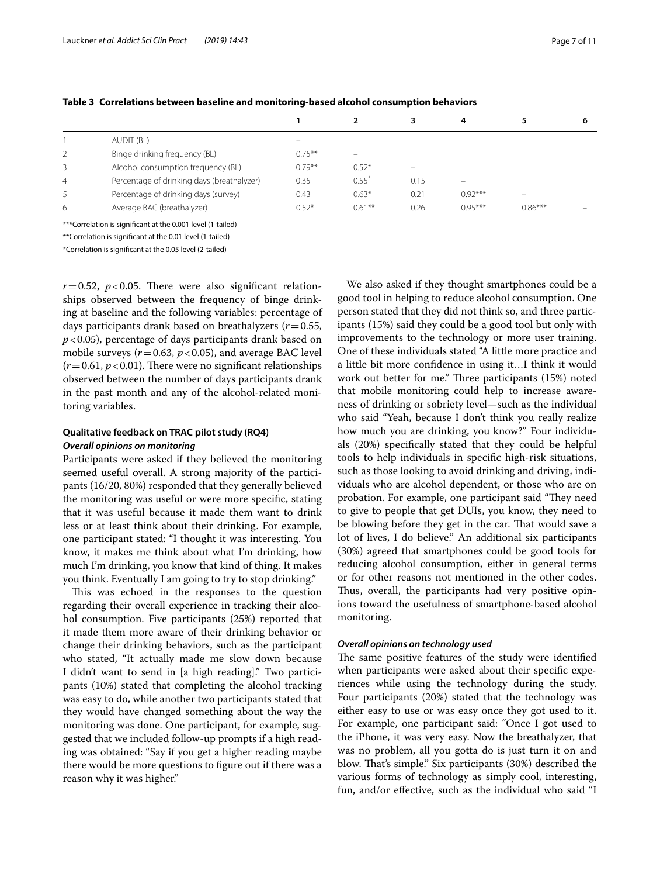|    |                                            |           |           |      | 4         |                          |  |
|----|--------------------------------------------|-----------|-----------|------|-----------|--------------------------|--|
|    | AUDIT (BL)                                 | -         |           |      |           |                          |  |
| 2  | Binge drinking frequency (BL)              | $0.75***$ | -         |      |           |                          |  |
| 3  | Alcohol consumption frequency (BL)         | $0.79***$ | $0.52*$   |      |           |                          |  |
| 4  | Percentage of drinking days (breathalyzer) | 0.35      | $0.55^*$  | 0.15 | -         |                          |  |
| 5. | Percentage of drinking days (survey)       | 0.43      | $0.63*$   | 0.21 | $0.92***$ | $\overline{\phantom{0}}$ |  |
| 6  | Average BAC (breathalyzer)                 | $0.52*$   | $0.61***$ | 0.26 | $0.95***$ | $0.86***$                |  |

<span id="page-6-0"></span>**Table 3 Correlations between baseline and monitoring-based alcohol consumption behaviors**

\*\*\*Correlation is signifcant at the 0.001 level (1-tailed)

\*\*Correlation is signifcant at the 0.01 level (1-tailed)

\*Correlation is signifcant at the 0.05 level (2-tailed)

 $r=0.52$ ,  $p<0.05$ . There were also significant relationships observed between the frequency of binge drinking at baseline and the following variables: percentage of days participants drank based on breathalyzers (*r*=0.55, *p*<0.05), percentage of days participants drank based on mobile surveys  $(r=0.63, p<0.05)$ , and average BAC level  $(r=0.61, p<0.01)$ . There were no significant relationships observed between the number of days participants drank in the past month and any of the alcohol-related monitoring variables.

## **Qualitative feedback on TRAC pilot study (RQ4)** *Overall opinions on monitoring*

Participants were asked if they believed the monitoring seemed useful overall. A strong majority of the participants (16/20, 80%) responded that they generally believed the monitoring was useful or were more specifc, stating that it was useful because it made them want to drink less or at least think about their drinking. For example, one participant stated: "I thought it was interesting. You know, it makes me think about what I'm drinking, how much I'm drinking, you know that kind of thing. It makes you think. Eventually I am going to try to stop drinking."

This was echoed in the responses to the question regarding their overall experience in tracking their alcohol consumption. Five participants (25%) reported that it made them more aware of their drinking behavior or change their drinking behaviors, such as the participant who stated, "It actually made me slow down because I didn't want to send in [a high reading]." Two participants (10%) stated that completing the alcohol tracking was easy to do, while another two participants stated that they would have changed something about the way the monitoring was done. One participant, for example, suggested that we included follow-up prompts if a high reading was obtained: "Say if you get a higher reading maybe there would be more questions to fgure out if there was a reason why it was higher."

We also asked if they thought smartphones could be a good tool in helping to reduce alcohol consumption. One person stated that they did not think so, and three participants (15%) said they could be a good tool but only with improvements to the technology or more user training. One of these individuals stated "A little more practice and a little bit more confdence in using it…I think it would work out better for me." Three participants (15%) noted that mobile monitoring could help to increase awareness of drinking or sobriety level—such as the individual who said "Yeah, because I don't think you really realize how much you are drinking, you know?" Four individuals (20%) specifcally stated that they could be helpful tools to help individuals in specifc high-risk situations, such as those looking to avoid drinking and driving, individuals who are alcohol dependent, or those who are on probation. For example, one participant said "They need to give to people that get DUIs, you know, they need to be blowing before they get in the car. That would save a lot of lives, I do believe." An additional six participants (30%) agreed that smartphones could be good tools for reducing alcohol consumption, either in general terms or for other reasons not mentioned in the other codes. Thus, overall, the participants had very positive opinions toward the usefulness of smartphone-based alcohol monitoring.

#### *Overall opinions on technology used*

The same positive features of the study were identified when participants were asked about their specifc experiences while using the technology during the study. Four participants (20%) stated that the technology was either easy to use or was easy once they got used to it. For example, one participant said: "Once I got used to the iPhone, it was very easy. Now the breathalyzer, that was no problem, all you gotta do is just turn it on and blow. That's simple." Six participants (30%) described the various forms of technology as simply cool, interesting, fun, and/or efective, such as the individual who said "I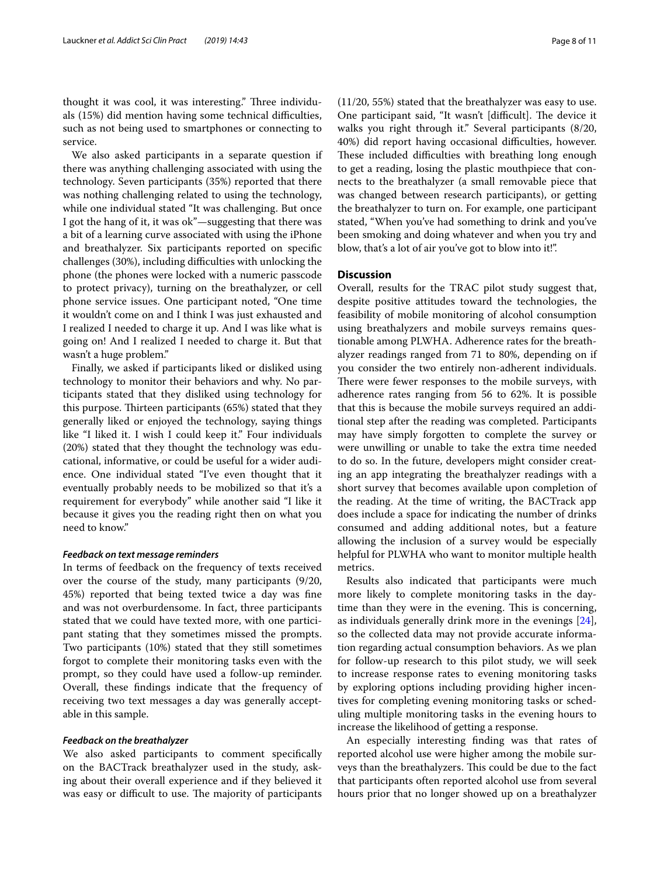thought it was cool, it was interesting." Three individuals (15%) did mention having some technical difficulties, such as not being used to smartphones or connecting to service.

We also asked participants in a separate question if there was anything challenging associated with using the technology. Seven participants (35%) reported that there was nothing challenging related to using the technology, while one individual stated "It was challenging. But once I got the hang of it, it was ok"—suggesting that there was a bit of a learning curve associated with using the iPhone and breathalyzer. Six participants reported on specifc challenges (30%), including difficulties with unlocking the phone (the phones were locked with a numeric passcode to protect privacy), turning on the breathalyzer, or cell phone service issues. One participant noted, "One time it wouldn't come on and I think I was just exhausted and I realized I needed to charge it up. And I was like what is going on! And I realized I needed to charge it. But that wasn't a huge problem."

Finally, we asked if participants liked or disliked using technology to monitor their behaviors and why. No participants stated that they disliked using technology for this purpose. Thirteen participants (65%) stated that they generally liked or enjoyed the technology, saying things like "I liked it. I wish I could keep it." Four individuals (20%) stated that they thought the technology was educational, informative, or could be useful for a wider audience. One individual stated "I've even thought that it eventually probably needs to be mobilized so that it's a requirement for everybody" while another said "I like it because it gives you the reading right then on what you need to know."

#### *Feedback on text message reminders*

In terms of feedback on the frequency of texts received over the course of the study, many participants (9/20, 45%) reported that being texted twice a day was fne and was not overburdensome. In fact, three participants stated that we could have texted more, with one participant stating that they sometimes missed the prompts. Two participants (10%) stated that they still sometimes forgot to complete their monitoring tasks even with the prompt, so they could have used a follow-up reminder. Overall, these fndings indicate that the frequency of receiving two text messages a day was generally acceptable in this sample.

#### *Feedback on the breathalyzer*

We also asked participants to comment specifcally on the BACTrack breathalyzer used in the study, asking about their overall experience and if they believed it was easy or difficult to use. The majority of participants (11/20, 55%) stated that the breathalyzer was easy to use. One participant said, "It wasn't [difficult]. The device it walks you right through it." Several participants (8/20, 40%) did report having occasional difficulties, however. These included difficulties with breathing long enough to get a reading, losing the plastic mouthpiece that connects to the breathalyzer (a small removable piece that was changed between research participants), or getting the breathalyzer to turn on. For example, one participant stated, "When you've had something to drink and you've been smoking and doing whatever and when you try and blow, that's a lot of air you've got to blow into it!".

### **Discussion**

Overall, results for the TRAC pilot study suggest that, despite positive attitudes toward the technologies, the feasibility of mobile monitoring of alcohol consumption using breathalyzers and mobile surveys remains questionable among PLWHA. Adherence rates for the breathalyzer readings ranged from 71 to 80%, depending on if you consider the two entirely non-adherent individuals. There were fewer responses to the mobile surveys, with adherence rates ranging from 56 to 62%. It is possible that this is because the mobile surveys required an additional step after the reading was completed. Participants may have simply forgotten to complete the survey or were unwilling or unable to take the extra time needed to do so. In the future, developers might consider creating an app integrating the breathalyzer readings with a short survey that becomes available upon completion of the reading. At the time of writing, the BACTrack app does include a space for indicating the number of drinks consumed and adding additional notes, but a feature allowing the inclusion of a survey would be especially helpful for PLWHA who want to monitor multiple health metrics.

Results also indicated that participants were much more likely to complete monitoring tasks in the daytime than they were in the evening. This is concerning, as individuals generally drink more in the evenings [\[24](#page-10-4)], so the collected data may not provide accurate information regarding actual consumption behaviors. As we plan for follow-up research to this pilot study, we will seek to increase response rates to evening monitoring tasks by exploring options including providing higher incentives for completing evening monitoring tasks or scheduling multiple monitoring tasks in the evening hours to increase the likelihood of getting a response.

An especially interesting fnding was that rates of reported alcohol use were higher among the mobile surveys than the breathalyzers. This could be due to the fact that participants often reported alcohol use from several hours prior that no longer showed up on a breathalyzer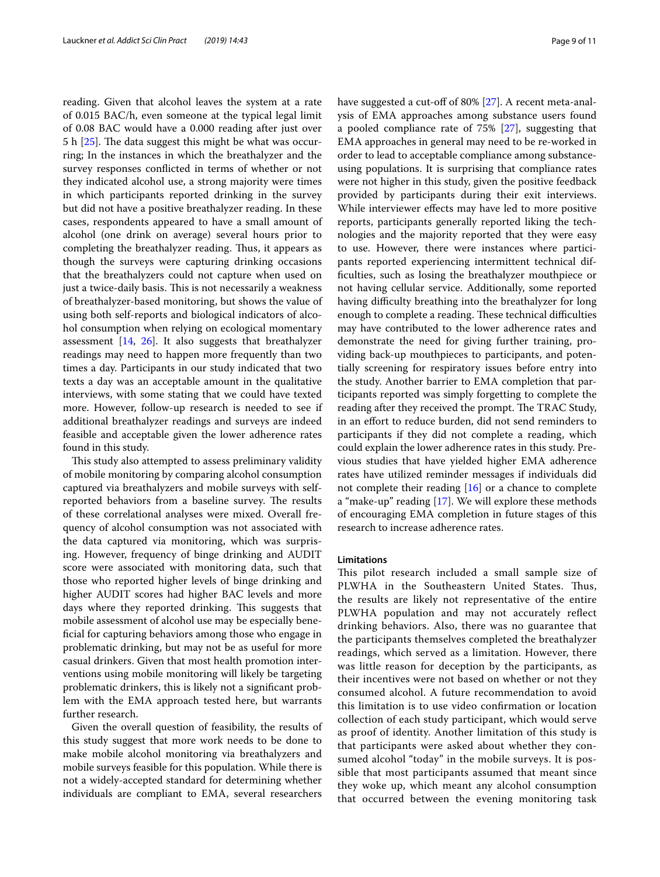reading. Given that alcohol leaves the system at a rate of 0.015 BAC/h, even someone at the typical legal limit of 0.08 BAC would have a 0.000 reading after just over 5 h  $[25]$  $[25]$ . The data suggest this might be what was occurring; In the instances in which the breathalyzer and the survey responses conficted in terms of whether or not they indicated alcohol use, a strong majority were times in which participants reported drinking in the survey but did not have a positive breathalyzer reading. In these cases, respondents appeared to have a small amount of alcohol (one drink on average) several hours prior to completing the breathalyzer reading. Thus, it appears as though the surveys were capturing drinking occasions that the breathalyzers could not capture when used on just a twice-daily basis. This is not necessarily a weakness of breathalyzer-based monitoring, but shows the value of using both self-reports and biological indicators of alcohol consumption when relying on ecological momentary assessment [\[14](#page-9-13), [26](#page-10-6)]. It also suggests that breathalyzer readings may need to happen more frequently than two times a day. Participants in our study indicated that two texts a day was an acceptable amount in the qualitative interviews, with some stating that we could have texted more. However, follow-up research is needed to see if additional breathalyzer readings and surveys are indeed feasible and acceptable given the lower adherence rates found in this study.

This study also attempted to assess preliminary validity of mobile monitoring by comparing alcohol consumption captured via breathalyzers and mobile surveys with selfreported behaviors from a baseline survey. The results of these correlational analyses were mixed. Overall frequency of alcohol consumption was not associated with the data captured via monitoring, which was surprising. However, frequency of binge drinking and AUDIT score were associated with monitoring data, such that those who reported higher levels of binge drinking and higher AUDIT scores had higher BAC levels and more days where they reported drinking. This suggests that mobile assessment of alcohol use may be especially benefcial for capturing behaviors among those who engage in problematic drinking, but may not be as useful for more casual drinkers. Given that most health promotion interventions using mobile monitoring will likely be targeting problematic drinkers, this is likely not a signifcant problem with the EMA approach tested here, but warrants further research.

Given the overall question of feasibility, the results of this study suggest that more work needs to be done to make mobile alcohol monitoring via breathalyzers and mobile surveys feasible for this population. While there is not a widely-accepted standard for determining whether individuals are compliant to EMA, several researchers have suggested a cut-off of 80% [\[27](#page-10-7)]. A recent meta-analysis of EMA approaches among substance users found a pooled compliance rate of 75% [\[27\]](#page-10-7), suggesting that EMA approaches in general may need to be re-worked in order to lead to acceptable compliance among substanceusing populations. It is surprising that compliance rates were not higher in this study, given the positive feedback provided by participants during their exit interviews. While interviewer efects may have led to more positive reports, participants generally reported liking the technologies and the majority reported that they were easy to use. However, there were instances where participants reported experiencing intermittent technical diffculties, such as losing the breathalyzer mouthpiece or not having cellular service. Additionally, some reported having difficulty breathing into the breathalyzer for long enough to complete a reading. These technical difficulties may have contributed to the lower adherence rates and demonstrate the need for giving further training, providing back-up mouthpieces to participants, and potentially screening for respiratory issues before entry into the study. Another barrier to EMA completion that participants reported was simply forgetting to complete the reading after they received the prompt. The TRAC Study, in an efort to reduce burden, did not send reminders to participants if they did not complete a reading, which could explain the lower adherence rates in this study. Previous studies that have yielded higher EMA adherence rates have utilized reminder messages if individuals did not complete their reading [\[16\]](#page-9-15) or a chance to complete a "make-up" reading [\[17](#page-9-16)]. We will explore these methods of encouraging EMA completion in future stages of this research to increase adherence rates.

#### **Limitations**

This pilot research included a small sample size of PLWHA in the Southeastern United States. Thus, the results are likely not representative of the entire PLWHA population and may not accurately refect drinking behaviors. Also, there was no guarantee that the participants themselves completed the breathalyzer readings, which served as a limitation. However, there was little reason for deception by the participants, as their incentives were not based on whether or not they consumed alcohol. A future recommendation to avoid this limitation is to use video confrmation or location collection of each study participant, which would serve as proof of identity. Another limitation of this study is that participants were asked about whether they consumed alcohol "today" in the mobile surveys. It is possible that most participants assumed that meant since they woke up, which meant any alcohol consumption that occurred between the evening monitoring task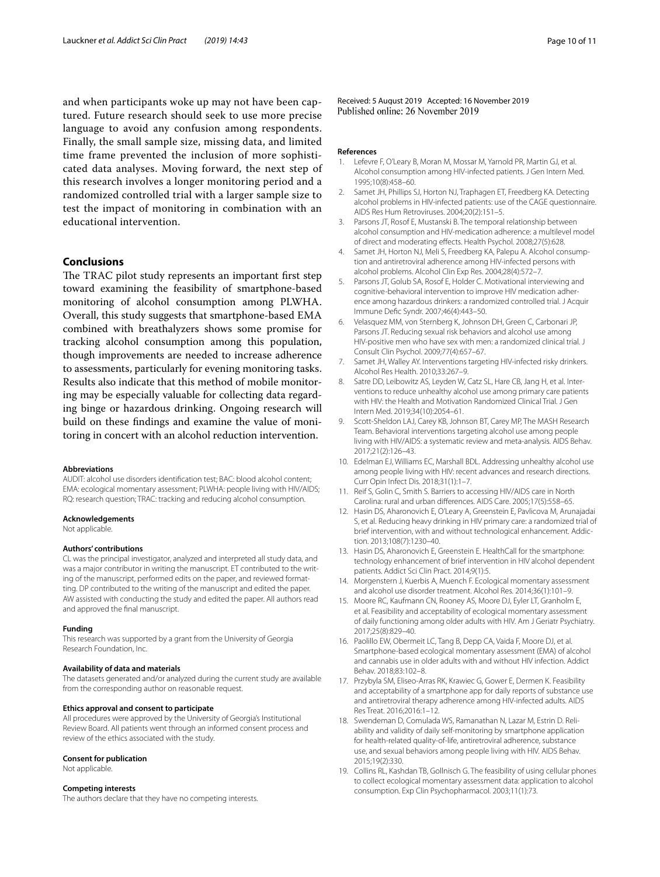and when participants woke up may not have been captured. Future research should seek to use more precise language to avoid any confusion among respondents. Finally, the small sample size, missing data, and limited time frame prevented the inclusion of more sophisticated data analyses. Moving forward, the next step of this research involves a longer monitoring period and a randomized controlled trial with a larger sample size to test the impact of monitoring in combination with an educational intervention.

## **Conclusions**

The TRAC pilot study represents an important first step toward examining the feasibility of smartphone-based monitoring of alcohol consumption among PLWHA. Overall, this study suggests that smartphone-based EMA combined with breathalyzers shows some promise for tracking alcohol consumption among this population, though improvements are needed to increase adherence to assessments, particularly for evening monitoring tasks. Results also indicate that this method of mobile monitoring may be especially valuable for collecting data regarding binge or hazardous drinking. Ongoing research will build on these fndings and examine the value of monitoring in concert with an alcohol reduction intervention.

#### **Abbreviations**

AUDIT: alcohol use disorders identifcation test; BAC: blood alcohol content; EMA: ecological momentary assessment; PLWHA: people living with HIV/AIDS; RQ: research question; TRAC: tracking and reducing alcohol consumption.

#### **Acknowledgements**

Not applicable.

#### **Authors' contributions**

CL was the principal investigator, analyzed and interpreted all study data, and was a major contributor in writing the manuscript. ET contributed to the writing of the manuscript, performed edits on the paper, and reviewed formatting. DP contributed to the writing of the manuscript and edited the paper. AW assisted with conducting the study and edited the paper. All authors read and approved the fnal manuscript.

#### **Funding**

This research was supported by a grant from the University of Georgia Research Foundation, Inc.

#### **Availability of data and materials**

The datasets generated and/or analyzed during the current study are available from the corresponding author on reasonable request.

#### **Ethics approval and consent to participate**

All procedures were approved by the University of Georgia's Institutional Review Board. All patients went through an informed consent process and review of the ethics associated with the study.

#### **Consent for publication**

Not applicable.

#### **Competing interests**

The authors declare that they have no competing interests.

Received: 5 August 2019 Accepted: 16 November 2019

#### **References**

- <span id="page-9-0"></span>1. Lefevre F, O'Leary B, Moran M, Mossar M, Yarnold PR, Martin GJ, et al. Alcohol consumption among HIV-infected patients. J Gen Intern Med. 1995;10(8):458–60.
- <span id="page-9-1"></span>2. Samet JH, Phillips SJ, Horton NJ, Traphagen ET, Freedberg KA. Detecting alcohol problems in HIV-infected patients: use of the CAGE questionnaire. AIDS Res Hum Retroviruses. 2004;20(2):151–5.
- <span id="page-9-2"></span>3. Parsons JT, Rosof E, Mustanski B. The temporal relationship between alcohol consumption and HIV-medication adherence: a multilevel model of direct and moderating efects. Health Psychol. 2008;27(5):628.
- <span id="page-9-3"></span>4. Samet JH, Horton NJ, Meli S, Freedberg KA, Palepu A. Alcohol consumption and antiretroviral adherence among HIV-infected persons with alcohol problems. Alcohol Clin Exp Res. 2004;28(4):572–7.
- <span id="page-9-4"></span>5. Parsons JT, Golub SA, Rosof E, Holder C. Motivational interviewing and cognitive-behavioral intervention to improve HIV medication adherence among hazardous drinkers: a randomized controlled trial. J Acquir Immune Defc Syndr. 2007;46(4):443–50.
- <span id="page-9-5"></span>Velasquez MM, von Sternberg K, Johnson DH, Green C, Carbonari JP, Parsons JT. Reducing sexual risk behaviors and alcohol use among HIV-positive men who have sex with men: a randomized clinical trial. J Consult Clin Psychol. 2009;77(4):657–67.
- <span id="page-9-6"></span>7. Samet JH, Walley AY. Interventions targeting HIV-infected risky drinkers. Alcohol Res Health. 2010;33:267–9.
- <span id="page-9-7"></span>8. Satre DD, Leibowitz AS, Leyden W, Catz SL, Hare CB, Jang H, et al. Interventions to reduce unhealthy alcohol use among primary care patients with HIV: the Health and Motivation Randomized Clinical Trial. J Gen Intern Med. 2019;34(10):2054–61.
- <span id="page-9-8"></span>9. Scott-Sheldon LAJ, Carey KB, Johnson BT, Carey MP, The MASH Research Team. Behavioral interventions targeting alcohol use among people living with HIV/AIDS: a systematic review and meta-analysis. AIDS Behav. 2017;21(2):126–43.
- <span id="page-9-9"></span>10. Edelman EJ, Williams EC, Marshall BDL. Addressing unhealthy alcohol use among people living with HIV: recent advances and research directions. Curr Opin Infect Dis. 2018;31(1):1–7.
- <span id="page-9-10"></span>11. Reif S, Golin C, Smith S. Barriers to accessing HIV/AIDS care in North Carolina: rural and urban diferences. AIDS Care. 2005;17(5):558–65.
- <span id="page-9-11"></span>12. Hasin DS, Aharonovich E, O'Leary A, Greenstein E, Pavlicova M, Arunajadai S, et al. Reducing heavy drinking in HIV primary care: a randomized trial of brief intervention, with and without technological enhancement. Addiction. 2013;108(7):1230–40.
- <span id="page-9-12"></span>13. Hasin DS, Aharonovich E, Greenstein E. HealthCall for the smartphone: technology enhancement of brief intervention in HIV alcohol dependent patients. Addict Sci Clin Pract. 2014;9(1):5.
- <span id="page-9-13"></span>14. Morgenstern J, Kuerbis A, Muench F. Ecological momentary assessment and alcohol use disorder treatment. Alcohol Res. 2014;36(1):101–9.
- <span id="page-9-14"></span>15. Moore RC, Kaufmann CN, Rooney AS, Moore DJ, Eyler LT, Granholm E, et al. Feasibility and acceptability of ecological momentary assessment of daily functioning among older adults with HIV. Am J Geriatr Psychiatry. 2017;25(8):829–40.
- <span id="page-9-15"></span>16. Paolillo EW, Obermeit LC, Tang B, Depp CA, Vaida F, Moore DJ, et al. Smartphone-based ecological momentary assessment (EMA) of alcohol and cannabis use in older adults with and without HIV infection. Addict Behav. 2018;83:102–8.
- <span id="page-9-16"></span>17. Przybyla SM, Eliseo-Arras RK, Krawiec G, Gower E, Dermen K. Feasibility and acceptability of a smartphone app for daily reports of substance use and antiretroviral therapy adherence among HIV-infected adults. AIDS Res Treat. 2016;2016:1–12.
- <span id="page-9-17"></span>18. Swendeman D, Comulada WS, Ramanathan N, Lazar M, Estrin D. Reliability and validity of daily self-monitoring by smartphone application for health-related quality-of-life, antiretroviral adherence, substance use, and sexual behaviors among people living with HIV. AIDS Behav. 2015;19(2):330.
- <span id="page-9-18"></span>19. Collins RL, Kashdan TB, Gollnisch G. The feasibility of using cellular phones to collect ecological momentary assessment data: application to alcohol consumption. Exp Clin Psychopharmacol. 2003;11(1):73.